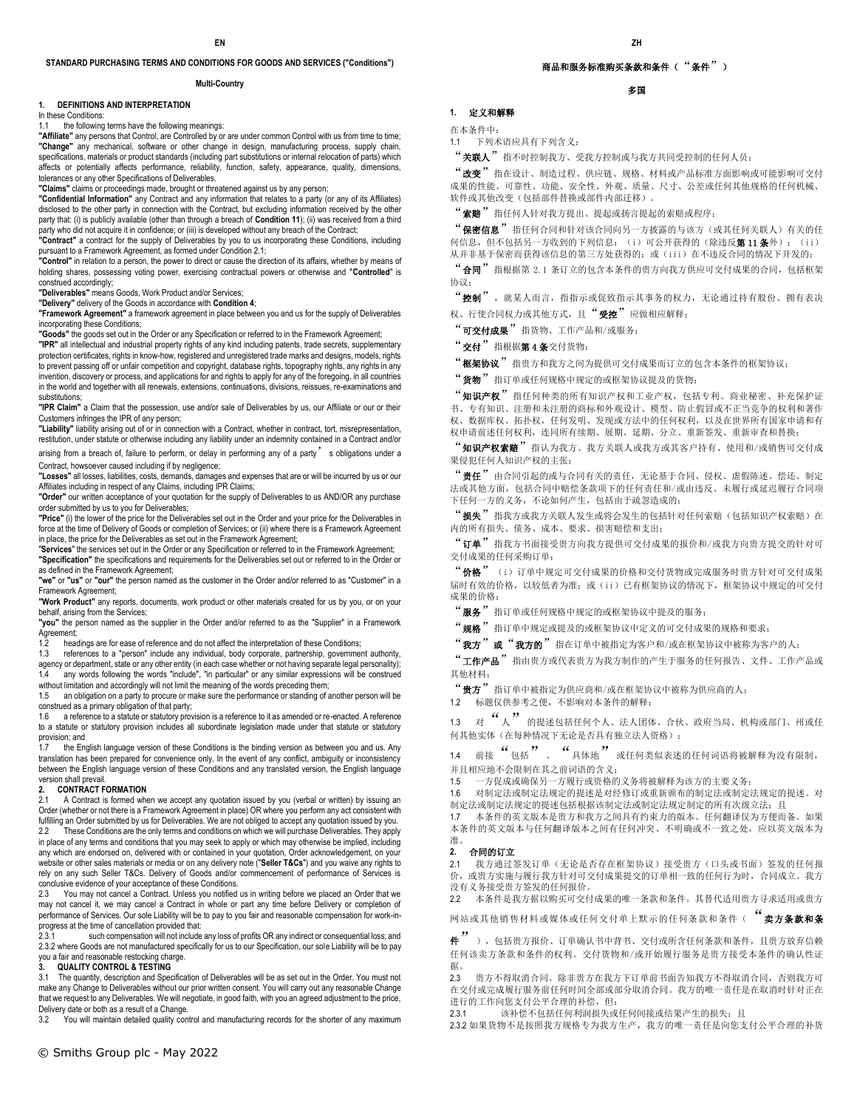#### **STANDARD PURCHASING TERMS AND CONDITIONS FOR GOODS AND SERVICES ("Conditions")**

#### **Multi-Country**

#### **1. DEFINITIONS AND INTERPRETATION**

In these Conditions:

### 1.1 the following terms have the following meanings:

**"Affiliate"** any persons that Control, are Controlled by or are under common Control with us from time to time; **"Change"** any mechanical, software or other change in design, manufacturing process, supply chain, specifications, materials or product standards (including part substitutions or internal relocation of parts) which affects or potentially affects performance, reliability, function, safety, appearance, quality, dimensions, tolerances or any other Specifications of Deliverables.

**"Claims"** claims or proceedings made, brought or threatened against us by any person;

**"Confidential Information"** any Contract and any information that relates to a party (or any of its Affiliates) disclosed to the other party in connection with the Contract, but excluding information received by the other party that: (i) is publicly available (other than through a breach of **Condition 11**); (ii) was received from a third party who did not acquire it in confidence; or (iii) is developed without any breach of the Contract;

**"Contract"** a contract for the supply of Deliverables by you to us incorporating these Conditions, including pursuant to a Framework Agreement, as formed under Condition 2.1;

**"Control"** in relation to a person, the power to direct or cause the direction of its affairs, whether by means of holding shares, possessing voting power, exercising contractual powers or otherwise and "**Controlled**" is construed accordingly;

**"Deliverables"** means Goods, Work Product and/or Services;

**"Delivery"** delivery of the Goods in accordance with **Condition 4**;

**"Framework Agreement"** a framework agreement in place between you and us for the supply of Deliverables incorporating these Conditions;

**"Goods"** the goods set out in the Order or any Specification or referred to in the Framework Agreement; **"IPR"** all intellectual and industrial property rights of any kind including patents, trade secrets, supplementary protection certificates, rights in know-how, registered and unregistered trade marks and designs, models, rights to prevent passing off or unfair competition and copyright, database rights, topography rights, any rights in any invention, discovery or process, and applications for and rights to apply for any of the foregoing, in all countries in the world and together with all renewals, extensions, continuations, divisions, reissues, re-examinations and substitutions:

**"IPR Claim"** a Claim that the possession, use and/or sale of Deliverables by us, our Affiliate or our or their Customers infringes the IPR of any person;

**"Liability"** liability arising out of or in connection with a Contract, whether in contract, tort, misrepresentation, restitution, under statute or otherwise including any liability under an indemnity contained in a Contract and/or

arising from a breach of, failure to perform, or delay in performing any of a party' s obligations under a Contract, howsoever caused including if by negligence;

**"Losses"** all losses, liabilities, costs, demands, damages and expenses that are or will be incurred by us or our Affiliates including in respect of any Claims, including IPR Claims;

**"Order"** our written acceptance of your quotation for the supply of Deliverables to us AND/OR any purchase order submitted by us to you for Deliverables;

**"Price"** (i) the lower of the price for the Deliverables set out in the Order and your price for the Deliverables in force at the time of Delivery of Goods or completion of Services; or (ii) where there is a Framework Agreement in place, the price for the Deliverables as set out in the Framework Agreement;

"**Services**" the services set out in the Order or any Specification or referred to in the Framework Agreement; **"Specification"** the specifications and requirements for the Deliverables set out or referred to in the Order or as defined in the Framework Agreement;

**"we"** or **"us"** or **"our"** the person named as the customer in the Order and/or referred to as "Customer" in a Framework Agreement;

**"Work Product"** any reports, documents, work product or other materials created for us by you, or on your behalf, arising from the Services;

**"you"** the person named as the supplier in the Order and/or referred to as the "Supplier" in a Framework Agreement;<br>1.2 head

1.2 headings are for ease of reference and do not affect the interpretation of these Conditions;<br>1.3 references to a "person" include any individual, body corporate, partnership, governme

references to a "person" include any individual, body corporate, partnership, government authority, agency or department, state or any other entity (in each case whether or not having separate legal personality);

1.4 any words following the words "include", "in particular" or any similar expressions will be construed without limitation and accordingly will not limit the meaning of the words preceding them;

1.5 an obligation on a party to procure or make sure the performance or standing of another person will be construed as a primary obligation of that party;

1.6 a reference to a statute or statutory provision is a reference to it as amended or re-enacted. A reference to a statute or statutory provision includes all subordinate legislation made under that statute or statutory provision; and

1.7 the English language version of these Conditions is the binding version as between you and us. Any translation has been prepared for convenience only. In the event of any conflict, ambiguity or inconsistency between the English language version of these Conditions and any translated version, the English language version shall prevail.

#### **2. CONTRACT FORMATION**

2.1 A Contract is formed when we accept any quotation issued by you (verbal or written) by issuing an Order (whether or not there is a Framework Agreement in place) OR where you perform any act consistent with fulfilling an Order submitted by us for Deliverables. We are not obliged to accept any quotation issued by you. These Conditions are the only terms and conditions on which we will purchase Deliverables. They apply in place of any terms and conditions that you may seek to apply or which may otherwise be implied, including any which are endorsed on, delivered with or contained in your quotation, Order acknowledgement, on your website or other sales materials or media or on any delivery note ("**Seller T&Cs**") and you waive any rights to rely on any such Seller T&Cs. Delivery of Goods and/or commencement of performance of Services is conclusive evidence of your acceptance of these Conditions.

2.3 You may not cancel a Contract. Unless you notified us in writing before we placed an Order that we may not cancel it, we may cancel a Contract in whole or part any time before Delivery or completion of performance of Services. Our sole Liability will be to pay to you fair and reasonable compensation for work-inprogress at the time of cancellation provided that:<br>2.3.1 such compensation will not include

such compensation will not include any loss of profits OR any indirect or consequential loss; and 2.3.2 where Goods are not manufactured specifically for us to our Specification, our sole Liability will be to pay you a fair and reasonable restocking charge.

#### **3. QUALITY CONTROL & TESTING**

3.1 The quantity, description and Specification of Deliverables will be as set out in the Order. You must not make any Change to Deliverables without our prior written consent. You will carry out any reasonable Change that we request to any Deliverables. We will negotiate, in good faith, with you an agreed adjustment to the price, Delivery date or both as a result of a Change.

3.2 You will maintain detailed quality control and manufacturing records for the shorter of any maximum

# 商品和服务标准购买条款和条件("条件")

## 多国

**1.** 定义和解释

在本条件中:

1.1 下列术语应具有下列含义:

"关联人"指不时控制我方、受我方控制或与我方共同受控制的任何人员;

"改变"指在设计、制造过程、供应链、规格、材料或产品标准方面影响或可能影响可交付 成果的性能、可靠性、功能、安全性、外观、质量、尺寸、公差或任何其他规格的任何机械、 软件或其他改变(包括部件替换或部件内部迁移)。

"索赔"指任何人针对我方提出、提起或扬言提起的索赔或程序;

"保密信息"指任何合同和针对该合同向另一方披露的与该方(或其任何关联人)有关的任 何信息,但不包括另一方收到的下列信息: (i)可公开获得的(除违反**第 11 条**外); (ii) 从并非基于保密而获得该信息的第三方处获得的;或(iii)在不违反合同的情况下开发的;

"合同"指根据第 2.1 条订立的包含本条件的贵方向我方供应可交付成果的合同,包括框架 协议;

"控制", 就某人而言, 指指示或促致指示其事务的权力, 无论通过持有股份、拥有表决 权、行使合同权力或其他方式,且"受控"应做相应解释;

"可交付成果"指货物、工作产品和/或服务;

"交付"指根据第4条交付货物;

"框架协议"指贵方和我方之间为提供可交付成果而订立的包含本条件的框架协议;

"货物"指订单或任何规格中规定的或框架协议提及的货物;

"知识产权"指任何种类的所有知识产权和工业产权,包括专利、商业秘密、补充保护证 书、专有知识、注册和未注册的商标和外观设计、模型、防止假冒或不正当竞争的权利和著作 权、数据库权、拓扑权,任何发明、发现或方法中的任何权利,以及在世界所有国家申请和有 权申请前述任何权利,连同所有续期、展期、延期、分立、重新签发、重新审查和替换;

"知识产权索赔"指认为我方、我方关联人或我方或其客户持有、使用和/或销售可交付成 果侵犯任何人知识产权的主张;

"责任"由合同引起的或与合同有关的责任,无论基于合同、侵权、虚假陈述、偿还、制定 法或其他方面,包括合同中赔偿条款项下的任何责任和/或由违反、未履行或延迟履行合同项 下任何一方的义务,不论如何产生,包括由于疏忽造成的;

"损失"指我方或我方关联人发生或将会发生的包括针对任何索赔(包括知识产权索赔)在 内的所有损失、债务、成本、要求、损害赔偿和支出;

"订单"指我方书面接受贵方向我方提供可交付成果的报价和/或我方向贵方提交的针对可 交付成果的任何采购订单;

'价格"(i)订单中规定可交付成果的价格和交付货物或完成服务时贵方针对可交付成果 届时有效的价格,以较低者为准;或(ii)已有框架协议的情况下,框架协议中规定的可交付 成果的价格;

"服务"指订单或任何规格中规定的或框架协议中提及的服务;

"规格"指订单中规定或提及的或框架协议中定义的可交付成果的规格和要求;

"我方"或"我方的"指在订单中被指定为客户和/或在框架协议中被称为客户的人;

"工作产品"指由贵方或代表贵方为我方制作的产生于服务的任何报告、文件、工作产品或 其他材料;

"贵方"指订单中被指定为供应商和/或在框架协议中被称为供应商的人;

1.2 标题仅供参考之便,不影响对本条件的解释;

1.3 对  $``\wedge"$  的提述包括任何个人、法人团体、合伙、政府当局、机构或部门、州或任 何其他实体(在每种情况下无论是否具有独立法人资格);

1.4 前接  $\frac{a}{b}$ 包括 ,  $\frac{a}{b}$ 具体地 , 或任何类似表述的任何词语将被解释为没有限制, 并且相应地不会限制在其之前词语的含义;

1.5 一方促成或确保另一方履行或资格的义务将被解释为该方的主要义务;

1.6 对制定法或制定法规定的提述是对经修订或重新颁布的制定法或制定法规定的提述。对

制定法或制定法规定的提述包括根据该制定法或制定法规定制定的所有次级立法;且 1.7 本条件的英文版本是贵方和我方之间具有约束力的版本。任何翻译仅为方便而备。如果

本条件的英文版本与任何翻译版本之间有任何冲突、不明确或不一致之处,应以英文版本为 准。

#### **2.** 合同的订立

2.1 我方通过签发订单(无论是否存在框架协议)接受贵方(口头或书面)签发的任何报 价,或贵方实施与履行我方针对可交付成果提交的订单相一致的任何行为时,合同成立。我方 没有义务接受贵方签发的任何报价。

2.2 本条件是我方据以购买可交付成果的唯一条款和条件。其替代适用贵方寻求适用或贵方

网站或其他销售材料或媒体或任何交付单上默示的任何条款和条件( "卖方条款和条

<sup>件</sup>"),包括贵方报价、订单确认书中背书、交付或所含任何条款和条件,且贵方放弃信赖 任何该卖方条款和条件的权利。交付货物和/或开始履行服务是贵方接受本条件的确认性证 据。

2.3 贵方不得取消合同。除非贵方在我方下订单前书面告知我方不得取消合同,否则我方可 在交付或完成履行服务前任何时间全部或部分取消合同。我方的唯一责任是在取消时针对正在 进行的工作向您支付公平合理的补偿,但:

2.3.1 该补偿不包括任何利润损失或任何间接或结果产生的损失;且

2.3.2 如果货物不是按照我方规格专为我方生产,我方的唯一责任是向您支付公平合理的补货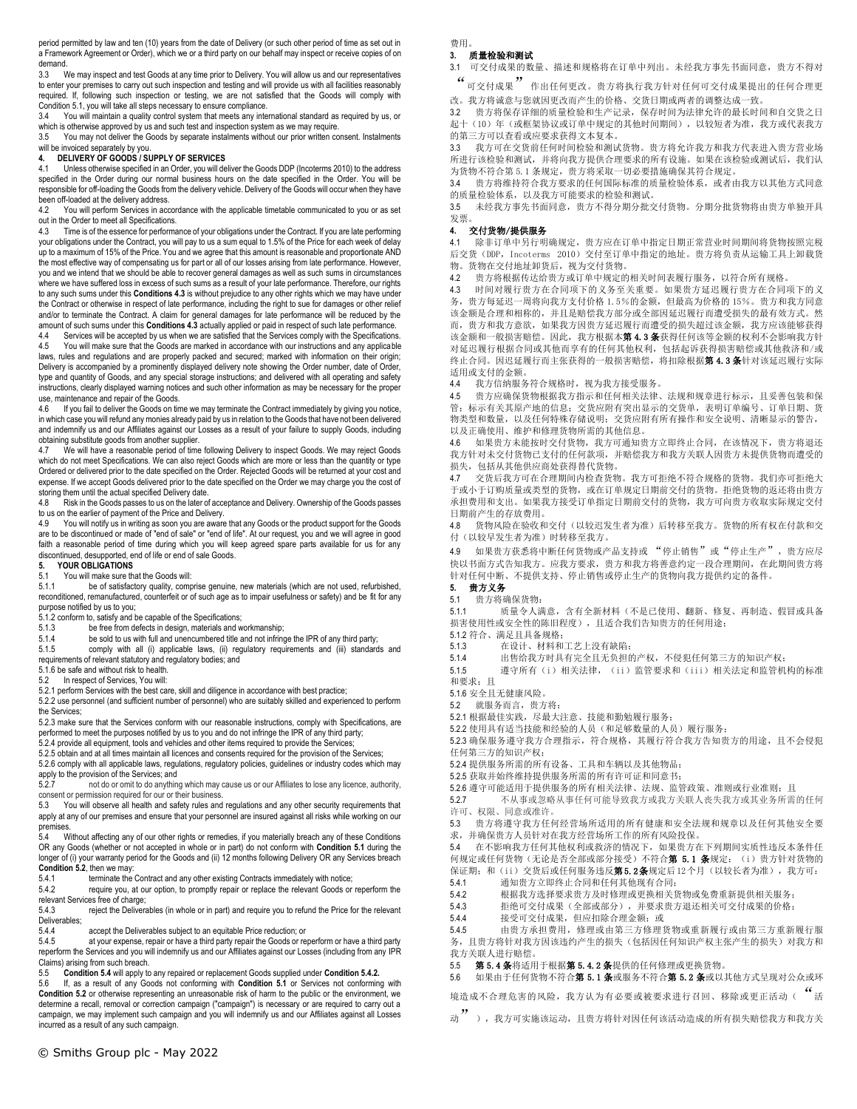period permitted by law and ten (10) years from the date of Delivery (or such other period of time as set out in a Framework Agreement or Order), which we or a third party on our behalf may inspect or receive copies of on demand.<br> $3.3 \times 10^{-10}$ 

We may inspect and test Goods at any time prior to Delivery. You will allow us and our representatives to enter your premises to carry out such inspection and testing and will provide us with all facilities reasonably required. If, following such inspection or testing, we are not satisfied that the Goods will comply with Condition 5.1, you will take all steps necessary to ensure compliance.

3.4 You will maintain a quality control system that meets any international standard as required by us, or which is otherwise approved by us and such test and inspection system as we may require.<br>3.5 You may not deliver the Goods by separate instalments without our prior written co

You may not deliver the Goods by separate instalments without our prior written consent. Instalments will be invoiced separately by you.

## **4. DELIVERY OF GOODS / SUPPLY OF SERVICES**

4.1 Unless otherwise specified in an Order, you will deliver the Goods DDP (Incoterms 2010) to the address specified in the Order during our normal business hours on the date specified in the Order. You will be responsible for off-loading the Goods from the delivery vehicle. Delivery of the Goods will occur when they have been off-loaded at the delivery address.

4.2 You will perform Services in accordance with the applicable timetable communicated to you or as set out in the Order to meet all Specifications.

4.3 Time is of the essence for performance of your obligations under the Contract. If you are late performing your obligations under the Contract, you will pay to us a sum equal to 1.5% of the Price for each week of delay up to a maximum of 15% of the Price. You and we agree that this amount is reasonable and proportionate AND the most effective way of compensating us for part or all of our losses arising from late performance. However, you and we intend that we should be able to recover general damages as well as such sums in circumstances where we have suffered loss in excess of such sums as a result of your late performance. Therefore, our rights to any such sums under this **Conditions 4.3** is without prejudice to any other rights which we may have under the Contract or otherwise in respect of late performance, including the right to sue for damages or other relief and/or to terminate the Contract. A claim for general damages for late performance will be reduced by the amount of such sums under this **Conditions 4.3** actually applied or paid in respect of such late performance.

Services will be accepted by us when we are satisfied that the Services comply with the Specifications. 4.5 You will make sure that the Goods are marked in accordance with our instructions and any applicable laws, rules and regulations and are properly packed and secured; marked with information on their origin; Delivery is accompanied by a prominently displayed delivery note showing the Order number, date of Order, type and quantity of Goods, and any special storage instructions; and delivered with all operating and safety instructions, clearly displayed warning notices and such other information as may be necessary for the proper use, maintenance and repair of the Goods.

4.6 If you fail to deliver the Goods on time we may terminate the Contract immediately by giving you notice, in which case you will refund any monies already paid by us in relation to the Goods that have not been delivered and indemnify us and our Affiliates against our Losses as a result of your failure to supply Goods, including obtaining substitute goods from another supplier.

4.7 We will have a reasonable period of time following Delivery to inspect Goods. We may reject Goods which do not meet Specifications. We can also reject Goods which are more or less than the quantity or type Ordered or delivered prior to the date specified on the Order. Rejected Goods will be returned at your cost and expense. If we accept Goods delivered prior to the date specified on the Order we may charge you the cost of storing them until the actual specified Delivery date.<br>4.8 Risk in the Goods passes to us on the later of

Risk in the Goods passes to us on the later of acceptance and Delivery. Ownership of the Goods passes to us on the earlier of payment of the Price and Delivery.

4.9 You will notify us in writing as soon you are aware that any Goods or the product support for the Goods are to be discontinued or made of "end of sale" or "end of life". At our request, you and we will agree in good faith a reasonable period of time during which you will keep agreed spare parts available for us for any discontinued, desupported, end of life or end of sale Goods.

## **5. YOUR OBLIGATIONS**

# 5.1 You will make sure that the Goods will:<br>5.1.1 be of satisfactory quality comp

be of satisfactory quality, comprise genuine, new materials (which are not used, refurbished, reconditioned, remanufactured, counterfeit or of such age as to impair usefulness or safety) and be fit for any purpose notified by us to you;

5.1.2 conform to, satisfy and be capable of the Specifications;

5.1.3 be free from defects in design, materials and workmanship;

5.1.4 be sold to us with full and unencumbered title and not infringe the IPR of any third party;

5.1.5 comply with all (i) applicable laws, (ii) regulatory requirements and (iii) standards and requirements of relevant statutory and regulatory bodies; and

5.1.6 be safe and without risk to health.

5.2 In respect of Services, You will:

5.2.1 perform Services with the best care, skill and diligence in accordance with best practice; 5.2.2 use personnel (and sufficient number of personnel) who are suitably skilled and experienced to perform the Services;

5.2.3 make sure that the Services conform with our reasonable instructions, comply with Specifications, are performed to meet the purposes notified by us to you and do not infringe the IPR of any third party;

5.2.4 provide all equipment, tools and vehicles and other items required to provide the Services;

5.2.5 obtain and at all times maintain all licences and consents required for the provision of the Services;

5.2.6 comply with all applicable laws, regulations, regulatory policies, guidelines or industry codes which may apply to the provision of the Services; and

5.2.7 not do or omit to do anything which may cause us or our Affiliates to lose any licence, authority, consent or permission required for our or their business.

5.3 You will observe all health and safety rules and regulations and any other security requirements that apply at any of our premises and ensure that your personnel are insured against all risks while working on our premises.

5.4 Without affecting any of our other rights or remedies, if you materially breach any of these Conditions OR any Goods (whether or not accepted in whole or in part) do not conform with **Condition 5.1** during the longer of (i) your warranty period for the Goods and (ii) 12 months following Delivery OR any Services breach **Condition 5.2**, then we may:

5.4.1 terminate the Contract and any other existing Contracts immediately with notice;

5.4.2 require you, at our option, to promptly repair or replace the relevant Goods or reperform the relevant Services free of charge;<br>5.4.3 reject the Delivera

reject the Deliverables (in whole or in part) and require you to refund the Price for the relevant Deliverables;<br>5.4.4

5.4.4 accept the Deliverables subject to an equitable Price reduction; or<br>5.4.5 at your expense repair or have a third party repair the Goods or rep

at your expense, repair or have a third party repair the Goods or reperform or have a third party reperform the Services and you will indemnify us and our Affiliates against our Losses (including from any IPR Claims) arising from such breach.<br>5.5 **Condition 5.4** will apply to

5.5 **Condition 5.4** will apply to any repaired or replacement Goods supplied under **Condition 5.4.2.**

If, as a result of any Goods not conforming with **Condition 5.1** or Services not conforming with **Condition 5.2** or otherwise representing an unreasonable risk of harm to the public or the environment, we determine a recall, removal or correction campaign ("campaign") is necessary or are required to carry out a campaign, we may implement such campaign and you will indemnify us and our Affiliates against all Losses incurred as a result of any such campaign.

费用。

## **3.** 质量检验和测试

3.1 可交付成果的数量、描述和规格将在订单中列出。未经我方事先书面同意,贵方不得对

"可交付成果"作出任何更改。贵方将执行我方针对任何可交付成果提出的任何合理更 改。我方将诚意与您就因更改而产生的价格、交货日期或两者的调整达成一致。

3.2 贵方将保存详细的质量检验和生产记录,保存时间为法律允许的最长时间和自交货之日 起十(10)年(或框架协议或订单中规定的其他时间期间),以较短者为准,我方或代表我方 的第三方可以查看或应要求获得文本复本。

3.3 我方可在交货前任何时间检验和测试货物。贵方将允许我方和我方代表进入贵方营业场 所进行该检验和测试,并将向我方提供合理要求的所有设施。如果在该检验或测试后,我们认 为货物不符合第 5.1 条规定,贵方将采取一切必要措施确保其符合规定。

3.4 贵方将维持符合我方要求的任何国际标准的质量检验体系,或者由我方以其他方式同意 的质量检验体系,以及我方可能要求的检验和测试。

3.5 未经我方事先书面同意,贵方不得分期分批交付货物。分期分批货物将由贵方单独开具 发票。

## **4.** 交付货物/提供服务

4.1 除非订单中另行明确规定,贵方应在订单中指定日期正常营业时间期间将货物按照完税 后交货(DDP, Incoterms 2010) 交付至订单中指定的地址。贵方将负责从运输工具上卸载货 物。货物在交付地址卸货后,视为交付货物。

4.2 贵方将根据传达给贵方或订单中规定的相关时间表履行服务,以符合所有规格。

4.3 时间对履行贵方在合同项下的义务至关重要。如果贵方延迟履行贵方在合同项下的义 务,贵方每延迟一周将向我方支付价格 1.5%的金额,但最高为价格的 15%。贵方和我方同意 该金额是合理和相称的,并且是赔偿我方部分或全部因延迟履行而遭受损失的最有效方式。然 而,贵方和我方意欲,如果我方因贵方延迟履行而遭受的损失超过该金额,我方应该能够获得 该金额和一般损害赔偿。因此,我方根据本**第 4.3 条**获得任何该等金额的权利不会影响我方针 对延迟履行根据合同或其他而享有的任何其他权利,包括起诉获得损害赔偿或其他救济和/或 终止合同。因迟延履行而主张获得的一般损害赔偿,将扣除根据第4.3条针对该延迟履行实际 适用或支付的金额。

4.4 我方信纳服务符合规格时,视为我方接受服务。

4.5 贵方应确保货物根据我方指示和任何相关法律、法规和规章进行标示,且妥善包装和保 管;标示有关其原产地的信息;交货应附有突出显示的交货单,表明订单编号、订单日期、货 物类型和数量,以及任何特殊存储说明;交货应附有所有操作和安全说明、清晰显示的警告, 以及正确使用、维护和修理货物所需的其他信息。

4.6 如果贵方未能按时交付货物,我方可通知贵方立即终止合同,在该情况下,贵方将退还 我方针对未交付货物已支付的任何款项,并赔偿我方和我方关联人因贵方未提供货物而遭受的 损失,包括从其他供应商处获得替代货物。

4.7 交货后我方可在合理期间内检查货物。我方可拒绝不符合规格的货物。我们亦可拒绝大 于或小于订购质量或类型的货物,或在订单规定日期前交付的货物。拒绝货物的返还将由贵方 承担费用和支出。如果我方接受订单指定日期前交付的货物,我方可向贵方收取实际规定交付 日期前产生的存放费用。

4.8 货物风险在验收和交付(以较迟发生者为准)后转移至我方。货物的所有权在付款和交 付(以较早发生者为准)时转移至我方。

4.9 如果贵方获悉将中断任何货物或产品支持或 "停止销售"或"停止生产",贵方应尽 快以书面方式告知我方。应我方要求,贵方和我方将善意约定一段合理期间,在此期间贵方将 针对任何中断、不提供支持、停止销售或停止生产的货物向我方提供约定的备件。

## **5.** 贵方义务

5.1 贵方将确保货物:

5.1.1 质量令人满意,含有全新材料(不是已使用、翻新、修复、再制造、假冒或具备 损害使用性或安全性的陈旧程度),且适合我们告知贵方的任何用途;

5.1.2 符合、满足且具备规格;

5.1.3 在设计、材料和工艺上没有缺陷;

5.1.4 出售给我方时具有完全且无负担的产权,不侵犯任何第三方的知识产权;

5.1.5 遵守所有(i)相关法律,(ii)监管要求和(iii)相关法定和监管机构的标准 和要求;且

5.1.6 安全且无健康风险。

5.2 就服务而言,贵方将:

5.2.1 根据最佳实践,尽最大注意、技能和勤勉履行服务;

5.2.2 使用具有适当技能和经验的人员(和足够数量的人员)履行服务;

5.2.3 确保服务遵守我方合理指示,符合规格,其履行符合我方告知贵方的用途,且不会侵犯 任何第三方的知识产权;

5.2.4 提供服务所需的所有设备、工具和车辆以及其他物品;

5.2.5 获取并始终维持提供服务所需的所有许可证和同意书;

5.2.6 遵守可能适用于提供服务的所有相关法律、法规、监管政策、准则或行业准则;且

5.2.7 不从事或忽略从事任何可能导致我方或我方关联人丧失我方或其业务所需的任何

许可、权限、同意或准许。

5.3 贵方将遵守我方任何经营场所适用的所有健康和安全法规和规章以及任何其他安全要 求,并确保贵方人员针对在我方经营场所工作的所有风险投保。

5.4 在不影响我方任何其他权利或救济的情况下,如果贵方在下列期间实质性违反本条件任 何规定或任何货物(无论是否全部或部分接受)不符合第 5.1 条规定:(i)贵方针对货物的 保证期;和(ii)交货后或任何服务违反**第5.2条**规定后12个月(以较长者为准),我方可:

5.4.1 通知贵方立即终止合同和任何其他现有合同;

5.4.2 根据我方选择要求贵方及时修理或更换相关货物或免费重新提供相关服务;

5.4.3 拒绝可交付成果(全部或部分),并要求贵方退还相关可交付成果的价格;

5.4.4 接受可交付成果,但应扣除合理金额;或

5.4.5 由贵方承担费用,修理或由第三方修理货物或重新履行或由第三方重新履行服 务,且贵方将针对我方因该违约产生的损失(包括因任何知识产权主张产生的损失)对我方和 我方关联人进行赔偿。

5.5 第 5.4 条将适用于根据第 5.4.2 条提供的任何修理或更换货物。

5.6 如果由于任何货物不符合第 5.1 条或服务不符合第 5.2 条或以其他方式呈现对公众或环

境造成不合理危害的风险,我方认为有必要或被要求进行召回、移除或更正活动(

动"),我方可实施该运动,且贵方将针对因任何该活动造成的所有损失赔偿我方和我方关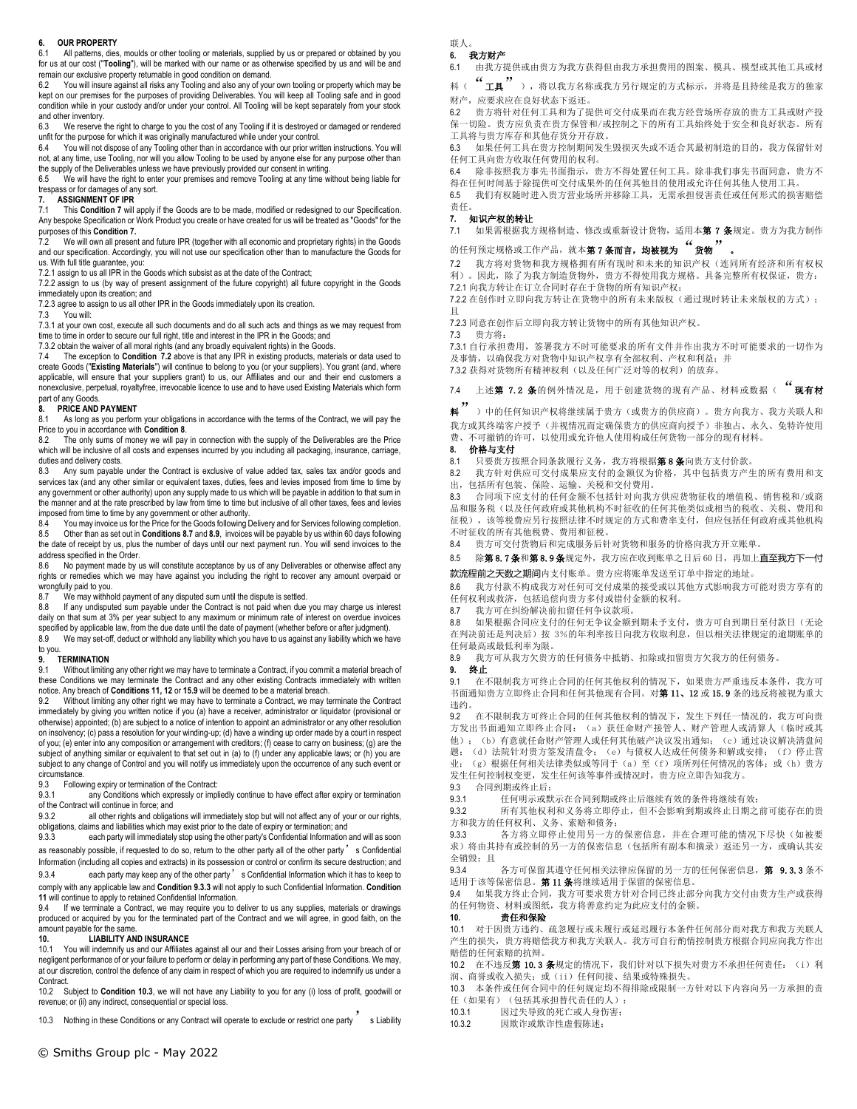#### **6. OUR PROPERTY**

6.1 All patterns, dies, moulds or other tooling or materials, supplied by us or prepared or obtained by you for us at our cost ("**Tooling**"), will be marked with our name or as otherwise specified by us and will be and remain our exclusive property returnable in good condition on demand.

You will insure against all risks any Tooling and also any of your own tooling or property which may be kept on our premises for the purposes of providing Deliverables. You will keep all Tooling safe and in good condition while in your custody and/or under your control. All Tooling will be kept separately from your stock and other inventory.

6.3 We reserve the right to charge to you the cost of any Tooling if it is destroyed or damaged or rendered unfit for the purpose for which it was originally manufactured while under your control.<br>6.4 You will not dispose of any Tooling other than in accordance with our prior writ

You will not dispose of any Tooling other than in accordance with our prior written instructions. You will not, at any time, use Tooling, nor will you allow Tooling to be used by anyone else for any purpose other than the supply of the Deliverables unless we have previously provided our consent in writing.

6.5 We will have the right to enter your premises and remove Tooling at any time without being liable for trespass or for damages of any sort.

# **7. ASSIGNMENT OF IPR**

This Condition 7 will apply if the Goods are to be made, modified or redesigned to our Specification. Any bespoke Specification or Work Product you create or have created for us will be treated as "Goods" for the purposes of this **Condition 7.**

7.2 We will own all present and future IPR (together with all economic and proprietary rights) in the Goods and our specification. Accordingly, you will not use our specification other than to manufacture the Goods for us. With full title guarantee, you:

7.2.1 assign to us all IPR in the Goods which subsist as at the date of the Contract;

7.2.2 assign to us (by way of present assignment of the future copyright) all future copyright in the Goods immediately upon its creation; and

7.2.3 agree to assign to us all other IPR in the Goods immediately upon its creation.<br>7.3 You will:

You will:

7.3.1 at your own cost, execute all such documents and do all such acts and things as we may request from time to time in order to secure our full right, title and interest in the IPR in the Goods; and

7.3.2 obtain the waiver of all moral rights (and any broadly equivalent rights) in the Goods.

7.4 The exception to **Condition 7.2** above is that any IPR in existing products, materials or data used to create Goods ("**Existing Materials**") will continue to belong to you (or your suppliers). You grant (and, where<br>applicable, will ensure that your suppliers grant) to us, our Affiliates and our and their end customers a nonexclusive, perpetual, royaltyfree, irrevocable licence to use and to have used Existing Materials which form part of any Goods

#### **8. PRICE AND PAYMENT**

8.1 As long as you perform your obligations in accordance with the terms of the Contract, we will pay the Price to you in accordance with **Condition 8**.<br>8.2 The only sums of money we will pay

The only sums of money we will pay in connection with the supply of the Deliverables are the Price which will be inclusive of all costs and expenses incurred by you including all packaging, insurance, carriage, duties and delivery costs.

8.3 Any sum payable under the Contract is exclusive of value added tax, sales tax and/or goods and services tax (and any other similar or equivalent taxes, duties, fees and levies imposed from time to time by any government or other authority) upon any supply made to us which will be payable in addition to that sum in the manner and at the rate prescribed by law from time to time but inclusive of all other taxes, fees and levies imposed from time to time by any government or other authority.

8.4 You may invoice us for the Price for the Goods following Delivery and for Services following completion. 8.5 Other than as set out in **Conditions 8.7** and **8.9**, invoices will be payable by us within 60 days following the date of receipt by us, plus the number of days until our next payment run. You will send invoices to the address specified in the Order.

8.6 No payment made by us will constitute acceptance by us of any Deliverables or otherwise affect any rights or remedies which we may have against you including the right to recover any amount overpaid or wrongfully paid to you.

8.7 We may withhold payment of any disputed sum until the dispute is settled.<br>8.8 If any undisputed sum payable under the Contract is not paid when due

8.8 If any undisputed sum payable under the Contract is not paid when due you may charge us interest daily on that sum at 3% per year subject to any maximum or minimum rate of interest on overdue invoices specified by applicable law, from the due date until the date of payment (whether before or after judgment).

8.9 We may set-off, deduct or withhold any liability which you have to us against any liability which we have

#### to you. **9. TERMINATION**

9.1 Without limiting any other right we may have to terminate a Contract, if you commit a material breach of these Conditions we may terminate the Contract and any other existing Contracts immediately with written notice. Any breach of **Conditions 11, 12** or **15.9** will be deemed to be a material breach.

9.2 Without limiting any other right we may have to terminate a Contract, we may terminate the Contract immediately by giving you written notice if you (a) have a receiver, administrator or liquidator (provisional or otherwise) appointed; (b) are subject to a notice of intention to appoint an administrator or any other resolution on insolvency; (c) pass a resolution for your winding-up; (d) have a winding up order made by a court in respect of you; (e) enter into any composition or arrangement with creditors; (f) cease to carry on business; (g) are the subject of anything similar or equivalent to that set out in (a) to (f) under any applicable laws; or (h) you are subject to any change of Control and you will notify us immediately upon the occurrence of any such event or circumstance.

9.3 Following expiry or termination of the Contract:<br>9.3.1 any Conditions which expressly or implement

any Conditions which expressly or impliedly continue to have effect after expiry or termination of the Contract will continue in force; and<br>9.3.2 all other rights and obligat

all other rights and obligations will immediately stop but will not affect any of your or our rights, obligations, claims and liabilities which may exist prior to the date of expiry or termination; and

9.3.3 each party will immediately stop using the other party's Confidential Information and will as soon as reasonably possible, if requested to do so, return to the other party all of the other party's Confidential

Information (including all copies and extracts) in its possession or control or confirm its secure destruction; and 9.3.4 each party may keep any of the other party' s Confidential Information which it has to keep to comply with any applicable law and **Condition 9.3.3** will not apply to such Confidential Information. **Condition** 

**11** will continue to apply to retained Confidential Information.<br>9.4 If we terminate a Contract we may require you to a 9.4 If we terminate a Contract, we may require you to deliver to us any supplies, materials or drawings

produced or acquired by you for the terminated part of the Contract and we will agree, in good faith, on the amount payable for the same.<br>10. LIABILITY AN

## **10. LIABILITY AND INSURANCE**

10.1 You will indemnify us and our Affiliates against all our and their Losses arising from your breach of or negligent performance of or your failure to perform or delay in performing any part of these Conditions. We may, at our discretion, control the defence of any claim in respect of which you are required to indemnify us under a Contract.

10.2 Subject to **Condition 10.3**, we will not have any Liability to you for any (i) loss of profit, goodwill or revenue; or (ii) any indirect, consequential or special loss.

10.3 Nothing in these Conditions or any Contract will operate to exclude or restrict one party s Liability

#### 联人。 **6.** 我方财产

6.1 由我方提供或由贵方为我方获得但由我方承担费用的图案、模具、模型或其他工具或材

料( "工具"),将以我方名称或我方另行规定的方式标示,并将是且持续是我方的独家 财产,应要求应在良好状态下返还。

6.2 贵方将针对任何工具和为了提供可交付成果而在我方经营场所存放的贵方工具或财产投 保一切险。贵方应负责在贵方保管和/或控制之下的所有工具始终处于安全和良好状态。所有 工具将与贵方库存和其他存货分开存放。

6.3 如果任何工具在贵方控制期间发生毁损灭失或不适合其最初制造的目的,我方保留针对 任何工具向贵方收取任何费用的权利。

6.4 除非按照我方事先书面指示,贵方不得处置任何工具。除非我们事先书面同意,贵方不 得在任何时间基于除提供可交付成果外的任何其他目的使用或允许任何其他人使用工具。 6.5 我们有权随时进入贵方营业场所并移除工具,无需承担侵害责任或任何形式的损害赔偿

## 责任。

## **7.** 知识产权的转让

7.1 如果需根据我方规格制造、修改或重新设计货物,适用本第 7 条规定。贵方为我方制作

# 的任何预定规格或工作产品,就本第7条而言,均被视为"货物"。

7.2 我方将对货物和我方规格拥有所有现时和未来的知识产权(连同所有经济和所有权权 利)。因此,除了为我方制造货物外,贵方不得使用我方规格。具备完整所有权保证,贵方: 7.2.1 向我方转让在订立合同时存在于货物的所有知识产权;

7.2.2 在创作时立即向我方转让在货物中的所有未来版权(通过现时转让未来版权的方式); 且

7.2.3 同意在创作后立即向我方转让货物中的所有其他知识产权。

7.3 贵方将: 7.3.1 自行承担费用,签署我方不时可能要求的所有文件并作出我方不时可能要求的一切作为 及事情,以确保我方对货物中知识产权享有全部权利、产权和利益;并

7.3.2 获得对货物所有精神权利(以及任何广泛对等的权利)的放弃。

7.4 上述第 7.2 条的例外情况是,用于创建货物的现有产品、材料或数据("现有材

<sup>料</sup>")中的任何知识产权将继续属于贵方(或贵方的供应商)。贵方向我方、我方关联人和 我方或其终端客户授予(并视情况而定确保贵方的供应商向授予)非独占、永久、免特许使用 费、不可撤销的许可,以使用或允许他人使用构成任何货物一部分的现有材料。

## **8.** 价格与支付

8.1 只要贵方按照合同条款履行义务,我方将根据第8条向贵方支付价款。

8.2 我方针对供应可交付成果应支付的金额仅为价格,其中包括贵方产生的所有费用和支 出,包括所有包装、保险、运输、关税和交付费用。

8.3 合同项下应支付的任何金额不包括针对向我方供应货物征收的增值税、销售税和/或商 品和服务税(以及任何政府或其他机构不时征收的任何其他类似或相当的税收、关税、费用和 征税),该等税费应另行按照法律不时规定的方式和费率支付,但应包括任何政府或其他机构 不时征收的所有其他税费、费用和征税。

8.4 贵方可交付货物后和完成服务后针对货物和服务的价格向我方开立账单。

8.5 除第 8.7条和第 8.9条规定外,我方应在收到账单之日后 60 日,再加上直至我方下一付 款流程前之天数之期间内支付账单。贵方应将账单发送至订单中指定的地址。

8.6 我方付款不构成我方对任何可交付成果的接受或以其他方式影响我方可能对贵方享有的 任何权利或救济,包括追偿向贵方多付或错付金额的权利。

8.7 我方可在纠纷解决前扣留任何争议款项。

8.8 如果根据合同应支付的任何无争议金额到期未予支付,贵方可自到期日至付款日(无论 在判决前还是判决后)按 3%的年利率按日向我方收取利息,但以相关法律规定的逾期账单的 任何最高或最低利率为限。

8.9 我方可从我方欠贵方的任何债务中抵销、扣除或扣留贵方欠我方的任何债务。

**9.** 终止 9.1 在不限制我方可终止合同的任何其他权利的情况下,如果贵方严重违反本条件,我方可 书面通知贵方立即终止合同和任何其他现有合同。对第11、12 或 15.9 条的违反将被视为重大 违约。

9.2 在不限制我方可终止合同的任何其他权利的情况下,发生下列任一情况的,我方可向贵 方发出书面通知立即终止合同: (a) 获任命财产接管人、财产管理人或清算人(临时或其 他);(b)有意就任命财产管理人或任何其他破产决议发出通知;(c)通过决议解决清盘问 题;(d)法院针对贵方签发清盘令;(e)与债权人达成任何债务和解或安排;(f)停止营 业; (g)根据任何相关法律类似或等同于(a)至(f)项所列任何情况的客体;或(h)贵方 发生任何控制权变更,发生任何该等事件或情况时,贵方应立即告知我方。

9.3 合同到期或终止后:<br>9.3.1 任何明示或

9.3.1 任何明示或默示在合同到期或终止后继续有效的条件将继续有效;

9.3.2 所有其他权利和义务将立即停止,但不会影响到期或终止日期之前可能存在的贵 方和我方的任何权利、义务、索赔和债务;

9.3.3 各方将立即停止使用另一方的保密信息,并在合理可能的情况下尽快(如被要 求)将由其持有或控制的另一方的保密信息(包括所有副本和摘录)返还另一方,或确认其安 全销毁;且

9.3.4 各方可保留其遵守任何相关法律应保留的另一方的任何保密信息, 第 9.3.3 条不 适用于该等保密信息。第 11 条将继续适用于保留的保密信息。

9.4 如果我方终止合同,我方可要求贵方针对合同已终止部分向我方交付由贵方生产或获得 的任何物资、材料或图纸,我方将善意约定为此应支付的金额。

**10.** 责任和保险

10.1 对于因贵方违约、疏忽履行或未履行或延迟履行本条件任何部分而对我方和我方关联人 产生的损失,贵方将赔偿我方和我方关联人。我方可自行酌情控制贵方根据合同应向我方作出 赔偿的任何索赔的抗辩。

10.2 在不违反第 10.3 条规定的情况下, 我们针对以下损失对贵方不承担任何责任: (i) 利 润、商誉或收入损失;或(ii)任何间接、结果或特殊损失。

10.3 本条件或任何合同中的任何规定均不得排除或限制一方针对以下内容向另一方承担的责 任(如果有)(包括其承担替代责任的人):

10.3.1 因过失导致的死亡或人身伤害;

10.3.2 因欺诈或欺诈性虚假陈述;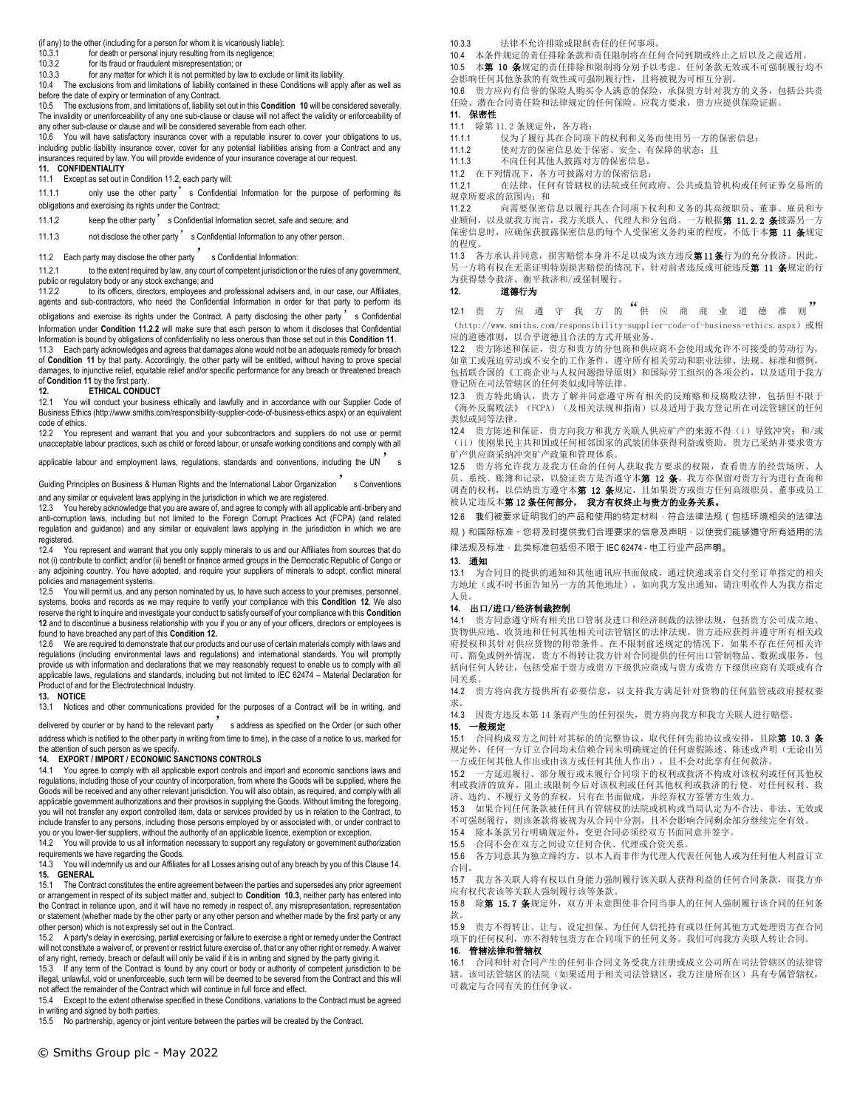(if any) to the other (including for a person for whom it is vicariously liable):

10.3.1 for death or personal injury resulting from its negligence;<br>10.3.2 for its fraud or fraudulent misrepresentation: or

10.3.2 for its fraud or fraudulent misrepresentation; or<br>10.3.3 for any matter for which it is not permitted by lay

for any matter for which it is not permitted by law to exclude or limit its liability.

10.4 The exclusions from and limitations of liability contained in these Conditions will apply after as well as before the date of expiry or termination of any Contract.

10.5 The exclusions from, and limitations of, liability set out in this **Condition 10** will be considered severally. The invalidity or unenforceability of any one sub-clause or clause will not affect the validity or enforceability of any other sub-clause or clause and will be considered severable from each other.

10.6 You will have satisfactory insurance cover with a reputable insurer to cover your obligations to us, including public liability insurance cover, cover for any potential liabilities arising from a Contract and any insurances required by law. You will provide evidence of your insurance coverage at our request.

**11. CONFIDENTIALITY** Except as set out in Condition 11.2, each party will:

11.1.1 only use the other party's Confidential Information for the purpose of performing its obligations and exercising its rights under the Contract;

11.1.2 keep the other party's Confidential Information secret, safe and secure; and

11.1.3 not disclose the other party sconfidential Information to any other person.

11.2 Each party may disclose the other party s Confidential Information:

11.2.1 to the extent required by law, any court of competent jurisdiction or the rules of any government, public or regulatory body or any stock exchange; and 11.2.2 to its officers, directors, employees an

to its officers, directors, employees and professional advisers and, in our case, our Affiliates, agents and sub-contractors, who need the Confidential Information in order for that party to perform its obligations and exercise its rights under the Contract. A party disclosing the other party<sup>7</sup> s Confidential Information under **Condition 11.2.2** will make sure that each person to whom it discloses that Confidential Information is bound by obligations of confidentiality no less onerous than those set out in this **Condition 11**.

11.3 Each party acknowledges and agrees that damages alone would not be an adequate remedy for breach of **Condition 11** by that party. Accordingly, the other party will be entitled, without having to prove special damages, to injunctive relief, equitable relief and/or specific performance for any breach or threatened breach of **Condition 11** by the first party.<br>12. **ETHICAL CONDU** 

#### **12. ETHICAL CONDUCT**

12.1 You will conduct your business ethically and lawfully and in accordance with our Supplier Code of Business Ethics (http://www.smiths.com/responsibility-supplier-code-of-business-ethics.aspx) or an equivalent code of ethics.

12.2 You represent and warrant that you and your subcontractors and suppliers do not use or permit unacceptable labour practices, such as child or forced labour, or unsafe working conditions and comply with all

applicable labour and employment laws, regulations, standards and conventions, including the UN'<sup>s</sup>

Guiding Principles on Business & Human Rights and the International Labor Organization Schowentions and any similar or equivalent laws applying in the jurisdiction in which we are registered.

12.3 You hereby acknowledge that you are aware of, and agree to comply with all applicable anti-bribery and anti-corruption laws, including but not limited to the Foreign Corrupt Practices Act (FCPA) (and related regulation and guidance) and any similar or equivalent laws applying in the jurisdiction in which we are registered.

12.4 You represent and warrant that you only supply minerals to us and our Affiliates from sources that do not (i) contribute to conflict; and/or (ii) benefit or finance armed groups in the Democratic Republic of Congo or any adjoining country. You have adopted, and require your suppliers of minerals to adopt, conflict mineral policies and management systems.<br>12.5 You will permit us and any r

12.5 You will permit us, and any person nominated by us, to have such access to your premises, personnel, systems, books and records as we may require to verify your compliance with this **Condition 12**. We also reserve the right to inquire and investigate your conduct to satisfy ourself of your compliance with this **Condition 12** and to discontinue a business relationship with you if you or any of your officers, directors or employees is found to have breached any part of this **Condition 12.**<br>12.6 We are required to demonstrate that our product

We are required to demonstrate that our products and our use of certain materials comply with laws and regulations (including environmental laws and regulations) and international standards. You will promptly provide us with information and declarations that we may reasonably request to enable us to comply with all applicable laws, regulations and standards, including but not limited to IEC 62474 – Material Declaration for Product of and for the Electrotechnical Industry.

#### **13. NOTICE**

13.1 Notices and other communications provided for the purposes of a Contract will be in writing, and

delivered by courier or by hand to the relevant party's address as specified on the Order (or such other address which is notified to the other party in writing from time to time), in the case of a notice to us, marked for

# the attention of such person as we specify. **14. EXPORT / IMPORT / ECONOMIC SANCTIONS CONTROLS**

14.1 You agree to comply with all applicable export controls and import and economic sanctions laws and regulations, including those of your country of incorporation, from where the Goods will be supplied, where the Goods will be received and any other relevant jurisdiction. You will also obtain, as required, and comply with all applicable government authorizations and their provisos in supplying the Goods. Without limiting the foregoing, you will not transfer any export controlled item, data or services provided by us in relation to the Contract, to include transfer to any persons, including those persons employed by or associated with, or under contract to you or you lower-tier suppliers, without the authority of an applicable licence, exemption or exception.

14.2 You will provide to us all information necessary to support any regulatory or government authorization requirements we have regarding the Goods.

14.3 You will indemnify us and our Affiliates for all Losses arising out of any breach by you of this Clause 14. **15. GENERAL**

15.1 The Contract constitutes the entire agreement between the parties and supersedes any prior agreement or arrangement in respect of its subject matter and, subject to **Condition 10.3**, neither party has entered into the Contract in reliance upon, and it will have no remedy in respect of, any misrepresentation, representation or statement (whether made by the other party or any other person and whether made by the first party or any other person) which is not expressly set out in the Contract.

15.2 A party's delay in exercising, partial exercising or failure to exercise a right or remedy under the Contract will not constitute a waiver of, or prevent or restrict future exercise of, that or any other right or remedy. A waiver<br>of any right, remedy, breach or default will only be valid if it is in writing and signed by the party

15.3 If any term of the Contract is found by any court or body or authority of competent jurisdiction to be illegal, unlawful, void or unenforceable, such term will be deemed to be severed from the Contract and this will not affect the remainder of the Contract which will continue in full force and effect.

15.4 Except to the extent otherwise specified in these Conditions, variations to the Contract must be agreed in writing and signed by both parties.

15.5 No partnership, agency or joint venture between the parties will be created by the Contract.

10.3.3 法律不允许排除或限制责任的任何事项。

10.4 本条件规定的责任排除条款和责任限制将在任何合同到期或终止之后以及之前适用。<br>10.5 本**第 10 多**规定的责任排除和限制将分别予以考虑。任何多款无效或不可强制履行:

本第 10 条规定的责任排除和限制将分别予以考虑。任何条款无效或不可强制履行均不 会影响任何其他条款的有效性或可强制履行性,且将被视为可相互分割。

10.6 贵方应向有信誉的保险人购买令人满意的保险,承保贵方针对我方的义务,包括公共责 任险、潜在合同责任险和法律规定的任何保险。应我方要求,贵方应提供保险证据。 **11.** 保密性

11.1 除第 11.2 条规定外,各方将:

11.1.1 仅为了履行其在合同项下的权利和义务而使用另一方的保密信息;

11.1.2 使对方的保密信息处于保密、安全、有保障的状态;且

11.1.3 不向任何其他人披露对方的保密信息。

11.2 在下列情况下,各方可披露对方的保密信息:

11.2.1 在法律、任何有管辖权的法院或任何政府、公共或监管机构或任何证券交易所的 规章所要求的范围内: 和

11.2.2 向需要保密信息以履行其在合同项下权利和义务的其高级职员、董事、雇员和专 业顾问, 以及就我方而言, 我方关联人、代理人和分包商。一方根据第 11.2.2 条披露另一方 保密信息时,应确保获披露保密信息的每个人受保密义务约束的程度,不低于本**第 11 条**规定 的程度。

11.3 各方承认并同意,损害赔偿本身并不足以成为该方违反第11条行为的充分救济。因此, 另一方将有权在无需证明特别损害赔偿的情况下,针对前者违反或可能违反第 11 条规定的行 为获得禁令救济、衡平救济和/或强制履行。

## **12.** 道德行为

12.1 贵 方 应 遵 守 我 方 的 <sup>"</sup>供 应 商 商 业 道 德 准 则"

(http://www.smiths.com/responsibility-supplier-code-of-business-ethics.aspx)或相 应的道德准则,以合乎道德且合法的方式开展业务。

12.2 贵方陈述和保证,贵方和贵方的分包商和供应商不会使用或允许不可接受的劳动行为, 如童工或强迫劳动或不安全的工作条件,遵守所有相关劳动和职业法律、法规、标准和惯例, 包括联合国的《工商企业与人权问题指导原则》和国际劳工组织的各项公约,以及适用于我方 登记所在司法管辖区的任何类似或同等法律。

12.3 贵方特此确认,贵方了解并同意遵守所有相关的反贿赂和反腐败法律,包括但不限于 《海外反腐败法》(FCPA)(及相关法规和指南)以及适用于我方登记所在司法管辖区的任何 类似或同等法律。

12.4 贵方陈述和保证,贵方向我方和我方关联人供应矿产的来源不得(i)导致冲突;和/或 (ii)使刚果民主共和国或任何相邻国家的武装团体获得利益或资助。贵方已采纳并要求贵方 矿产供应商采纳冲突矿产政策和管理体系。

12.5 贵方将允许我方及我方任命的任何人获取我方要求的权限,查看贵方的经营场所、人 员、系统、账簿和记录, 以验证贵方是否遵守本**第 12 条**。我方亦保留对贵方行为进行查询和 调查的权利, 以信纳贵方遵守本**第 12 条**规定, 且如果贵方或贵方任何高级职员、董事或员工 被认定违反本**第 12 条任何部分, 我方有权终止与贵方的业务关系。** 

12.6 我们被要求证明我们的产品和使用的特定材料,符合法律法规(包括环境相关的法律法

规)和国际标准。您将及时提供我们合理要求的信息及声明,以使我们能够遵守所有适用的法

律法规及标准,此类标准包括但不限于 IEC 62474 - 电工行业产品声明。

**13.** 通知

13.1 为合同目的提供的通知和其他通讯应书面做成,通过快递或亲自交付至订单指定的相关 方地址(或不时书面告知另一方的其他地址),如向我方发出通知,请注明收件人为我方指定 人员。

### **14.** 出口/进口/经济制裁控制

14.1 贵方同意遵守所有相关出口管制及进口和经济制裁的法律法规,包括贵方公司成立地、 货物供应地、收货地和任何其他相关司法管辖区的法律法规。贵方还应获得并遵守所有相关政 府授权和其针对供应货物的附带条件。在不限制前述规定的情况下,如果不存在任何相关许 可、豁免或例外情况,贵方不得转让我方针对合同提供的任何出口管制物品、数据或服务,包 括向任何人转让,包括受雇于贵方或贵方下级供应商或与贵方或贵方下级供应商有关联或有合 同关系。

14.2 贵方将向我方提供所有必要信息,以支持我方满足针对货物的任何监管或政府授权要 求。

14.3 因贵方违反本第 14 条而产生的任何损失,贵方将向我方和我方关联人进行赔偿。

**15.** 一般规定

15.1 合同构成双方之间针对其标的的完整协议,取代任何先前协议或安排,且除**第 10.3 条** 规定外,任何一方订立合同均未信赖合同未明确规定的任何虚假陈述、陈述或声明(无论由另 一方或任何其他人作出或由该方或任何其他人作出),且不会对此享有任何救济。

15.2 一方延迟履行、部分履行或未履行合同项下的权利或救济不构成对该权利或任何其他权 利或救济的放弃,阻止或限制今后对该权利或任何其他权利或救济的行使。对任何权利、救 济、违约、不履行义务的弃权,只有在书面做成,并经弃权方签署方生效力。

15.3 如果合同任何条款被任何具有管辖权的法院或机构或当局认定为不合法、非法、无效或 不可强制履行,则该条款将被视为从合同中分割,且不会影响合同剩余部分继续完全有效。

15.4 除本条款另行明确规定外,变更合同必须经双方书面同意并签字。

15.5 合同不会在双方之间设立任何合伙、代理或合资关系。

15.6 各方同意其为独立缔约方,以本人而非作为代理人代表任何他人或为任何他人利益订立 合同。

15.7 我方各关联人将有权以自身能力强制履行该关联人获得利益的任何合同条款,而我方亦 应有权代表该等关联人强制履行该等条款。

15.8 除第 15.7 条规定外, 双方并未意图使非合同当事人的任何人强制履行该合同的任何条 款。

15.9 贵方不得转让、让与、设定担保、为任何人信托持有或以任何其他方式处理贵方在合同 项下的任何权利,亦不得转包贵方在合同项下的任何义务。我们可向我方关联人转让合同。

## **16.** 管辖法律和管辖权

16.1 合同和针对合同产生的任何非合同义务受我方注册或成立公司所在司法管辖区的法律管 辖。该司法管辖区的法院(如果适用于相关司法管辖区,我方注册所在区)具有专属管辖权, 可裁定与合同有关的任何争议。